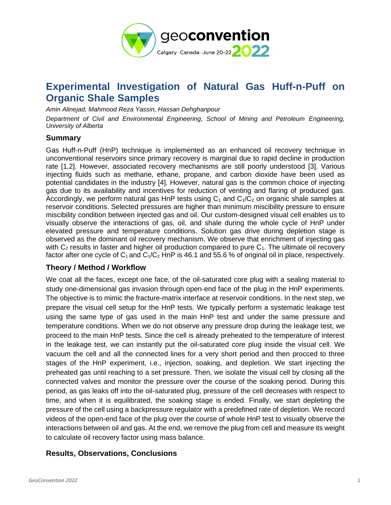

# **Experimental Investigation of Natural Gas Huff-n-Puff on Organic Shale Samples**

*Amin Alinejad, Mahmood Reza Yassin, Hassan Dehghanpour* 

*Department of Civil and Environmental Engineering, School of Mining and Petroleum Engineering, University of Alberta*

#### **Summary**

Gas Huff-n-Puff (HnP) technique is implemented as an enhanced oil recovery technique in unconventional reservoirs since primary recovery is marginal due to rapid decline in production rate [1,2]. However, associated recovery mechanisms are still poorly understood [3]. Various injecting fluids such as methane, ethane, propane, and carbon dioxide have been used as potential candidates in the industry [4]. However, natural gas is the common choice of injecting gas due to its availability and incentives for reduction of venting and flaring of produced gas. Accordingly, we perform natural gas HnP tests using  $C_1$  and  $C_1/C_2$  on organic shale samples at reservoir conditions. Selected pressures are higher than minimum miscibility pressure to ensure miscibility condition between injected gas and oil. Our custom-designed visual cell enables us to visually observe the interactions of gas, oil, and shale during the whole cycle of HnP under elevated pressure and temperature conditions. Solution gas drive during depletion stage is observed as the dominant oil recovery mechanism. We observe that enrichment of injecting gas with  $C_2$  results in faster and higher oil production compared to pure  $C_1$ . The ultimate oil recovery factor after one cycle of  $C_1$  and  $C_1/C_2$  HnP is 46.1 and 55.6 % of original oil in place, respectively.

### **Theory / Method / Workflow**

We coat all the faces, except one face, of the oil-saturated core plug with a sealing material to study one-dimensional gas invasion through open-end face of the plug in the HnP experiments. The objective is to mimic the fracture-matrix interface at reservoir conditions. In the next step, we prepare the visual cell setup for the HnP tests. We typically perform a systematic leakage test using the same type of gas used in the main HnP test and under the same pressure and temperature conditions. When we do not observe any pressure drop during the leakage test, we proceed to the main HnP tests. Since the cell is already preheated to the temperature of interest in the leakage test, we can instantly put the oil-saturated core plug inside the visual cell. We vacuum the cell and all the connected lines for a very short period and then procced to three stages of the HnP experiment, i.e., injection, soaking, and depletion. We start injecting the preheated gas until reaching to a set pressure. Then, we isolate the visual cell by closing all the connected valves and monitor the pressure over the course of the soaking period. During this period, as gas leaks off into the oil-saturated plug, pressure of the cell decreases with respect to time, and when it is equilibrated, the soaking stage is ended. Finally, we start depleting the pressure of the cell using a backpressure regulator with a predefined rate of depletion. We record videos of the open-end face of the plug over the course of whole HnP test to visually observe the interactions between oil and gas. At the end, we remove the plug from cell and measure its weight to calculate oil recovery factor using mass balance.

### **Results, Observations, Conclusions**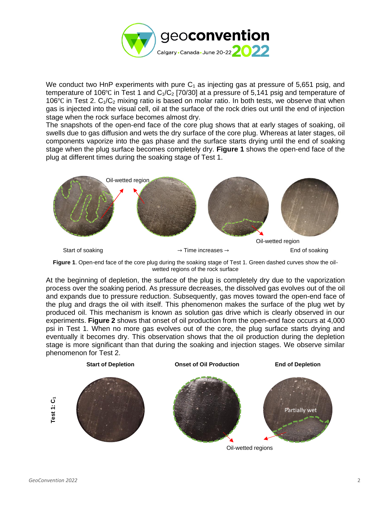

We conduct two HnP experiments with pure  $C_1$  as injecting gas at pressure of 5,651 psig, and temperature of 106°C in Test 1 and  $C_1/C_2$  [70/30] at a pressure of 5,141 psig and temperature of 106 $°C$  in Test 2. C<sub>1</sub>/C<sub>2</sub> mixing ratio is based on molar ratio. In both tests, we observe that when gas is injected into the visual cell, oil at the surface of the rock dries out until the end of injection stage when the rock surface becomes almost dry.

The snapshots of the open-end face of the core plug shows that at early stages of soaking, oil swells due to gas diffusion and wets the dry surface of the core plug. Whereas at later stages, oil components vaporize into the gas phase and the surface starts drying until the end of soaking stage when the plug surface becomes completely dry. **[Figure 1](#page-1-0)** shows the open-end face of the plug at different times during the soaking stage of Test 1.



<span id="page-1-0"></span>**Figure 1**. Open-end face of the core plug during the soaking stage of Test 1. Green dashed curves show the oilwetted regions of the rock surface

At the beginning of depletion, the surface of the plug is completely dry due to the vaporization process over the soaking period. As pressure decreases, the dissolved gas evolves out of the oil and expands due to pressure reduction. Subsequently, gas moves toward the open-end face of the plug and drags the oil with itself. This phenomenon makes the surface of the plug wet by produced oil. This mechanism is known as solution gas drive which is clearly observed in our experiments. **[Figure 2](#page-2-0)** shows that onset of oil production from the open-end face occurs at 4,000 psi in Test 1. When no more gas evolves out of the core, the plug surface starts drying and eventually it becomes dry. This observation shows that the oil production during the depletion stage is more significant than that during the soaking and injection stages. We observe similar phenomenon for Test 2.